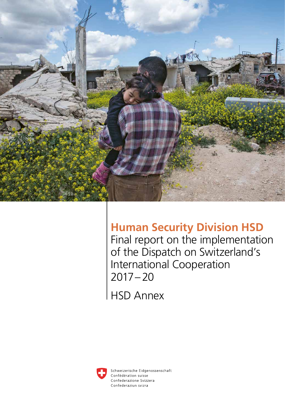

# **Human Security Division HSD**

Final report on the implementation of the Dispatch on Switzerland's International Cooperation 2017–20

HSD Annex



Schweizerische Eidgenossenschaft Confédération suisse Confederazione Svizzera Confederaziun svizra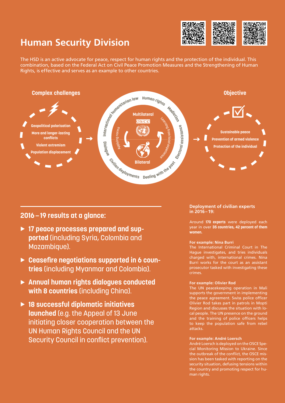# **Human Security Division**



The HSD is an active advocate for peace, respect for human rights and the protection of the individual. This combination, based on the Federal Act on Civil Peace Promotion Measures and the Strengthening of Human Rights, is effective and serves as an example to other countries.



**2016—19 results at a glance:**

- **17 peace processes prepared and supported** (including Syria, Colombia and Mozambique).
- **► Ceasefire negotiations supported in 6 countries** (including Myanmar and Colombia).
- **Annual human rights dialogues conducted with 8 countries** (including China).
- **18 successful diplomatic initiatives launched** (e.g. the Appeal of 13 June initiating closer cooperation between the UN Human Rights Council and the UN Security Council in conflict prevention).

# **Deployment of civilian experts in 2016–19:**

Around **170 experts** were deployed each year in over **35 countries, 42 percent of them women.**

# **For example: Nina Burri**

The International Criminal Court in The Hague investigates, and tries individuals charged with, international crimes. Nina Burri works for the court as an assistant prosecutor tasked with investigating these crimes.

### **For example: Olivier Rod**

The UN peacekeeping operation in Mali supports the government in implementing the peace agreement. Swiss police officer Olivier Rod takes part in patrols in Mopti Region and discusses the situation with local people. The UN presence on the ground and the training of police officers helps to keep the population safe from rebel attacks.

### **For example: André Loersch**

André Loersch is deployed on the OSCE Special Monitoring Mission to Ukraine. Since the outbreak of the conflict, the OSCE mission has been tasked with reporting on the security situation, defusing tensions within the country and promoting respect for human rights.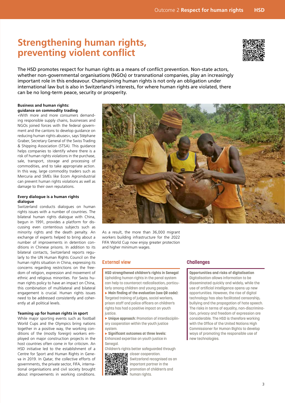# **Strengthening human rights, preventing violent conflict**



The HSD promotes respect for human rights as a means of conflict prevention. Non-state actors, whether non-governmental organisations (NGOs) or transnational companies, play an increasingly important role in this endeavour. Championing human rights is not only an obligation under international law but is also in Switzerland's interests, for where human rights are violated, there can be no long-term peace, security or prosperity.

# **Business and human rights: guidance on commodity trading**

«With more and more consumers demanding responsible supply chains, businesses and NGOs joined forces with the federal government and the cantons to develop guidance on reducing human rights abuses», says Stéphane Graber, Secretary General of the Swiss Trading & Shipping Association (STSA). This guidance helps companies to identify where there is a risk of human rights violations in the purchase, sale, transport, storage and processing of commodities, and to take appropriate action. In this way, large commodity traders such as Mercuria and SMEs like Ecom Agroindustrial can prevent human rights violations as well as damage to their own reputations.

### **Every dialogue is a human rights dialogue**

Switzerland conducts dialogues on human rights issues with a number of countries. The bilateral human rights dialogue with China, begun in 1991, provides a platform for discussing even contentious subjects such as minority rights and the death penalty. An exchange of experts helped to bring about a number of improvements in detention conditions in Chinese prisons. In addition to its bilateral contacts, Switzerland reports regularly to the UN Human Rights Council on the human rights situation in China, expressing its concerns regarding restrictions on the freedom of religion, expression and movement of ethnic and religious minorities. For Swiss human rights policy to have an impact on China, this combination of multilateral and bilateral engagement is crucial. Human rights issues need to be addressed consistently and coherently at all political levels.

# **Teaming up for human rights in sport**

While major sporting events such as football World Cups and the Olympics bring nations together in a positive way, the working conditions of the (mostly foreign) workers employed on major construction projects in the host countries often come in for criticism. An HSD initiative led to the establishment of a Centre for Sport and Human Rights in Geneva in 2019. In Qatar, the collective efforts of governments, the private sector, FIFA, international organisations and civil society brought about improvements in working conditions.



As a result, the more than 36,000 migrant workers building infrastructure for the 2022 FIFA World Cup now enjoy greater protection and higher minimum wages.

# **External view**

**HSD strengthened children's rights in Senegal**  Upholding human rights in the penal system can help to counteract radicalisation, particularly among children and young people.

 **Main finding of the evaluation (see QR code):**  Targeted training of judges, social workers, prison staff and police officers on children's rights has had a positive impact on youth justice.

 **Unique approach:** Promotion of interdisciplinary cooperation within the youth justice system.

 **Significant outcomes at three levels:** Enhanced expertise on youth justice in Senegal.

[Children's rights](https://www.eda.admin.ch/dam/eda/fr/documents/aussenpolitik/menschenrechte-menschliche-sicherheit/Externe-Evaluation-AMS-Jugendjustiz-Senegal_FR.pdf) better safeguarded through **CAO** closer cooperation.



Switzerland recognised as an important partner in the promotion of children's and

# human rights.

# **Challenges**

**Opportunities and risks of digitalisation**  Digitalisation allows information to be disseminated quickly and widely, while the use of artificial intelligence opens up new opportunities. However, the rise of digital technology has also facilitated censorship, bullying and the propagation of hate speech. The risks in terms of equality, non-discrimination, privacy and freedom of expression are considerable. The HSD is therefore working with the Office of the United Nations High Commissioner for Human Rights to develop ways of promoting the responsible use of new technologies.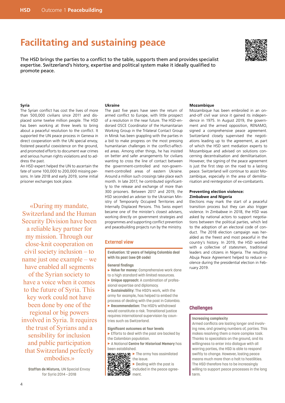# **Facilitating and sustaining peace**

The HSD brings the parties to a conflict to the table, supports them and provides specialist expertise. Switzerland's history, expertise and political system make it ideally qualified to promote peace.



#### **Syria**

The Syrian conflict has cost the lives of more than 500,000 civilians since 2011 and displaced some twelve million people. The HSD has been working at three levels to bring about a peaceful resolution to the conflict. It supported the UN peace process in Geneva in direct cooperation with the UN special envoy, fostered peaceful coexistence on the ground, and promoted efforts to document war crimes and serious human rights violations and to address the past.

An HSD expert helped the UN to ascertain the fate of some 100,000 to 200,000 missing persons. In late 2018 and early 2019, some initial prisoner exchanges took place.

«During my mandate, Switzerland and the Human Security Division have been a reliable key partner for my mission. Through our close-knit cooperation on civil society inclusion – to name just one example – we have enabled all segments of the Syrian society to have a voice when it comes to the future of Syria. This key work could not have been done by one of the regional or big powers involved in Syria. It requires the trust of Syrians and a sensibility for inclusion and public participation that Switzerland perfectly embodies.»

**Staffan de Mistura,** UN Special Envoy for Syria 2014—2018

#### **Ukraine**

The past five years have seen the return of armed conflict to Europe, with little prospect of a resolution in the near future. The HSD-endorsed OSCE Coordinator of the Humanitarian Working Group in the Trilateral Contact Group in Minsk has been grappling with the parties in a bid to make progress on the most pressing humanitarian challenges in the conflict-affected areas. Among other things, he has insisted on better and safer arrangements for civilians wanting to cross the line of contact between the government-controlled and non-government-controlled areas of eastern Ukraine. Around a million such crossings take place each month. In late 2017, he contributed significantly to the release and exchange of more than 300 prisoners. Between 2017 and 2019, the HSD seconded an adviser to the Ukrainian Ministry of Temporarily Occupied Territories and Internally Displaced Persons. This Swiss expert became one of the minister's closest advisers, working directly on government strategies and programmes and supporting conflict prevention and peacebuilding projects run by the ministry.

### **External view**

**Evaluation: 12 years of helping Colombia deal with its past (see QR code)**

#### **General findings**

- **Value for money:** Comprehensive work done to a high standard with limited resources.
- **Unique approach:** A combination of professional expertise and diplomacy.
- **Sustainability:** The HSD's work, with the army for example, has helped to embed the process of dealing with the past in Colombia.
- **Recommendation:** The HSD's withdrawal would constitute a risk. Transitional justice requires international supervision by countries such as Switzerland.

#### **Significant outcomes at four levels**

- $\blacktriangleright$  Efforts to deal with the past are backed by the Colombian population.
- A National **Centre for Historical Memory** has [been establishe](https://www.eda.admin.ch/dam/eda/en/documents/aussenpolitik/menschenrechte-menschliche-sicherheit/Externe-Evaluation-12-Jahre-AMS-Vergangenheitsarbeit-in-Kolumbien-2006-2018_EN.pdf)d.

 $\blacktriangleright$  The army has assimilated the issue.

 $\blacktriangleright$  Dealing with the past is included in the peace agreement.

#### **Mozambique**

Mozambique has been embroiled in an onand-off civil war since it gained its independence in 1975. In August 2019, the government and the armed opposition, RENAMO, signed a comprehensive peace agreement. Switzerland closely supervised the negotiations leading up to the agreement, as part of which the HSD sent mediation experts to Mozambique and advised on solutions concerning decentralisation and demilitarisation. However, the signing of the peace agreement is just the first step on the road to a lasting peace. Switzerland will continue to assist Mozambique, especially in the area of demilitarisation and reintegration of ex-combatants.

#### **Preventing election violence: Zimbabwe and Nigeria**

Elections may mark the start of a peaceful transition process but they can also trigger violence. In Zimbabwe in 2018, the HSD was asked by national actors to support negotiations between the political parties, which led to the adoption of an electoral code of conduct. The 2018 election campaign was heralded as the freest and most peaceful in the country's history. In 2019, the HSD worked with a collective of statesmen, traditional leaders and citizens in Nigeria. The resulting Abuja Peace Agreement helped to reduce violence during the presidential election in February 2019.

# **Challenges**

#### **Increasing complexity**

Armed conflicts are lasting longer and involving new, and growing numbers of, parties. This makes resolving them a more complex task. Thanks to specialists on the ground, and its willingness to enter into dialogue with all warring parties, the HSD is able to respond swiftly to change. However, lasting peace means much more than a halt to hostilities. The HSD therefore has to be increasingly willing to support peace processes in the long term.

4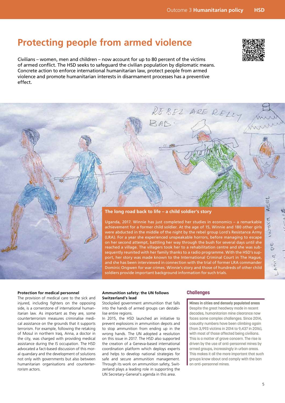# **Protecting people from armed violence**

Civilians – women, men and children – now account for up to 80 percent of the victims of armed conflict. The HSD seeks to safeguard the civilian population by diplomatic means. Concrete action to enforce international humanitarian law, protect people from armed violence and promote humanitarian interests in disarmament processes has a preventive effect.



# **The long road back to life – a child soldier's story**

ാത്

Uganda, 2017. Winnie has just completed her studies in economics – a remarkable achievement for a former child soldier. At the age of 15, Winnie and 180 other girls were abducted in the middle of the night by the rebel group Lord's Resistance Army (LRA). For a year she experienced unspeakable horrors, before managing to escape on her second attempt, battling her way through the bush for several days until she reached a village. The villagers took her to a rehabilitation centre and she was subsequently reunited with her family thanks to a radio programme. With the HSD's support, her story was made known to the International Criminal Court in The Hague, and she has been interviewed in connection with the trial of former LRA commander Dominic Ongwen for war crimes. Winnie's story and those of hundreds of other child soldiers provide important background information for such trials.

#### **Protection for medical personnel**

The provision of medical care to the sick and injured, including fighters on the opposing side, is a cornerstone of international humanitarian law. As important as they are, some counterterrorism measures criminalise medical assistance on the grounds that it supports terrorism. For example, following the retaking of Mosul in northern Iraq, Anna, a doctor in the city, was charged with providing medical assistance during the IS occupation. The HSD advocated a fact-based discussion of this moral quandary and the development of solutions not only with governments but also between humanitarian organisations and counterterrorism actors.

#### **Ammunition safety: the UN follows Switzerland's lead**

Stockpiled government ammunition that falls into the hands of armed groups can destabilise entire regions.

In 2015, the HSD launched an initiative to prevent explosions in ammunition depots and to stop ammunition from ending up in the wrong hands. The UN adopted a resolution on this issue in 2017. The HSD also supported the creation of a Geneva-based international coordination platform which deploys experts and helps to develop national strategies for safe and secure ammunition management. Through its work on ammunition safety, Switzerland plays a leading role in supporting the UN Secretary-General's agenda in this area.

### **Challenges**

REBEL ARE RELLY

**Mines in cities and densely populated areas**  Despite the great headway made in recent decades, humanitarian mine clearance now faces some complex challenges. Since 2014, casualty numbers have been climbing again (from 3,993 victims in 2014 to 9,437 in 2016), with most of those affected being civilians. This is a matter of grave concern. The rise is driven by the use of anti-personnel mines by armed groups, increasingly in urban areas. This makes it all the more important that such groups know about and comply with the ban on anti-personnel mines.

 $\overline{\mathbb{D}}$ 

98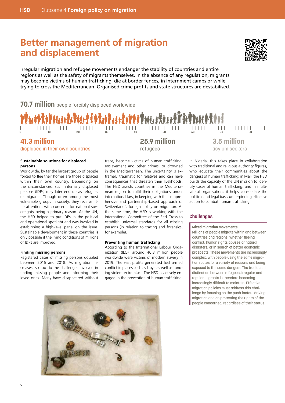# **Better management of migration and displacement**



Irregular migration and refugee movements endanger the stability of countries and entire regions as well as the safety of migrants themselves. In the absence of any regulation, migrants may become victims of human trafficking, die at border fences, in internment camps or while trying to cross the Mediterranean. Organised crime profits and state structures are destabilised.

**70.7 million** people forcibly displaced worldwide



# **41.3 million**

displaced in their own countries

### **Sustainable solutions for displaced persons**

Worldwide, by far the largest group of people forced to flee their homes are those displaced within their own country. Depending on the circumstances, such internally displaced persons (IDPs) may later end up as refugees or migrants. Though often among the most vulnerable groups in society, they receive little attention, with concerns for national sovereignty being a primary reason. At the UN, the HSD helped to put IDPs in the political and operational spotlight and was involved in establishing a high-level panel on the issue. Sustainable development in these countries is only possible if the living conditions of millions of IDPs are improved.

### **Finding missing persons**

Registered cases of missing persons doubled between 2016 and 2018. As migration increases, so too do the challenges involved in finding missing people and informing their loved ones. Many have disappeared without **25.9 million** refugees

trace, become victims of human trafficking, enslavement and other crimes, or drowned in the Mediterranean. The uncertainty is extremely traumatic for relatives and can have consequences that threaten their livelihoods. The HSD assists countries in the Mediterranean region to fulfil their obligations under international law, in keeping with the comprehensive and partnership-based approach of Switzerland's foreign policy on migration. At the same time, the HSD is working with the International Committee of the Red Cross to establish universal standards for all missing persons (in relation to tracing and forensics, for example).

#### **Preventing human trafficking**

According to the International Labour Organization (ILO), around 40.3 million people worldwide were victims of modern slavery in 2019. The vast profits generated fuel armed conflict in places such as Libya as well as funding violent extremism. The HSD is actively engaged in the prevention of human trafficking.



**3.5 million** asylum seekers

In Nigeria, this takes place in collaboration with traditional and religious authority figures, who educate their communities about the dangers of human trafficking; in Mali, the HSD builds the capacity of the UN mission to identify cases of human trafficking, and in multilateral organisations it helps consolidate the political and legal basis underpinning effective action to combat human trafficking.

# **Challenges**

**Mixed migration movements**

Millions of people migrate within and between countries and regions, whether fleeing conflict, human rights abuses or natural disasters, or in search of better economic prospects. These movements are increasingly complex, with people using the same migration routes for a variety of reasons and being exposed to the same dangers. The traditional distinction between refugees, irregular and regular migrants is therefore becoming increasingly difficult to maintain. Effective migration policies must address this challenge by focusing on the push factors driving migration and on protecting the rights of the people concerned, regardless of their status.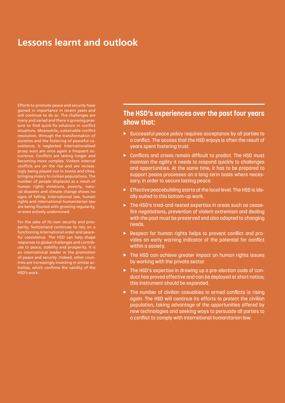# **Lessons learnt and outlook**

Efforts to promote peace and security have gained in importance in recent years and will continue to do so. The challenges are many and varied and there is growing pressure to find quick-fix solutions in conflict situations. Meanwhile, sustainable conflict resolution, through the transformation of societies and the fostering of peaceful coexistence, is neglected. Internationalised proxy wars are once again a frequent occurrence. Conflicts are lasting longer and becoming more complex. Violent internal conflicts are on the rise and are increasingly being played out in towns and cities, bringing misery to civilian populations. The number of people displaced as a result of human rights violations, poverty, natural disasters and climate change shows no signs of falling. International law, human rights and international humanitarian law are being flouted with growing regularity, or even actively undermined.

For the sake of its own security and prosperity, Switzerland continues to rely on a functioning international order and peaceful coexistence. The HSD can help shape responses to global challenges and contribute to peace, stability and prosperity. It is an international leader in the promotion of peace and security. Indeed, other countries are increasingly investing in similar activities, which confirms the validity of the HSD's work.

# **The HSD's experiences over the past four years show that:**

- Successful peace policy requires acceptance by all parties to a conflict. The access that the HSD enjoys is often the result of years spent fostering trust.
- ▶ Conflicts and crises remain difficult to predict. The HSD must maintain the agility it needs to respond quickly to challenges and opportunities. At the same time, it has to be prepared to support peace processes on a long-term basis where necessary, in order to secure lasting peace.
- Effective peacebuilding starts at the local level. The HSD is ideally suited to this bottom-up work.
- The HSD's tried-and-tested expertise in areas such as ceasefire negotiations, prevention of violent extremism and dealing with the past must be preserved and also adapted to changing needs.
- ▶ Respect for human rights helps to prevent conflict and provides an early warning indicator of the potential for conflict within a society.
- ▶ The HSD can achieve greater impact on human rights issues by working with the private sector.
- ▶ The HSD's expertise in drawing up a pre-election code of conduct has proved effective and can be deployed at short notice; this instrument should be expanded.
- $\triangleright$  The number of civilian casualties in armed conflicts is rising again. The HSD will continue its efforts to protect the civilian population, taking advantage of the opportunities offered by new technologies and seeking ways to persuade all parties to a conflict to comply with international humanitarian law.